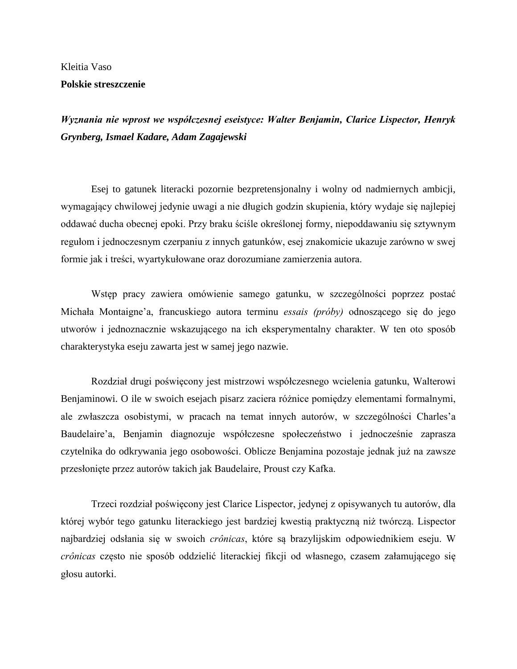## Kleitia Vaso

## **Polskie streszczenie**

*Wyznania nie wprost we współczesnej eseistyce: Walter Benjamin, Clarice Lispector, Henryk Grynberg, Ismael Kadare, Adam Zagajewski*

Esej to gatunek literacki pozornie bezpretensjonalny i wolny od nadmiernych ambicji, wymagający chwilowej jedynie uwagi a nie długich godzin skupienia, który wydaje się najlepiej oddawać ducha obecnej epoki. Przy braku ściśle określonej formy, niepoddawaniu się sztywnym regułom i jednoczesnym czerpaniu z innych gatunków, esej znakomicie ukazuje zarówno w swej formie jak i treści, wyartykułowane oraz dorozumiane zamierzenia autora.

Wstęp pracy zawiera omówienie samego gatunku, w szczególności poprzez postać Michała Montaigne'a, francuskiego autora terminu *essais (próby)* odnoszącego się do jego utworów i jednoznacznie wskazującego na ich eksperymentalny charakter. W ten oto sposób charakterystyka eseju zawarta jest w samej jego nazwie.

Rozdział drugi poświęcony jest mistrzowi współczesnego wcielenia gatunku, Walterowi Benjaminowi. O ile w swoich esejach pisarz zaciera różnice pomiędzy elementami formalnymi, ale zwłaszcza osobistymi, w pracach na temat innych autorów, w szczególności Charles'a Baudelaire'a, Benjamin diagnozuje współczesne społeczeństwo i jednocześnie zaprasza czytelnika do odkrywania jego osobowości. Oblicze Benjamina pozostaje jednak już na zawsze przesłonięte przez autorów takich jak Baudelaire, Proust czy Kafka.

Trzeci rozdział poświęcony jest Clarice Lispector, jedynej z opisywanych tu autorów, dla której wybór tego gatunku literackiego jest bardziej kwestią praktyczną niż twórczą. Lispector najbardziej odsłania się w swoich *crônicas*, które są brazylijskim odpowiednikiem eseju. W *crônicas* często nie sposób oddzielić literackiej fikcji od własnego, czasem załamującego się głosu autorki.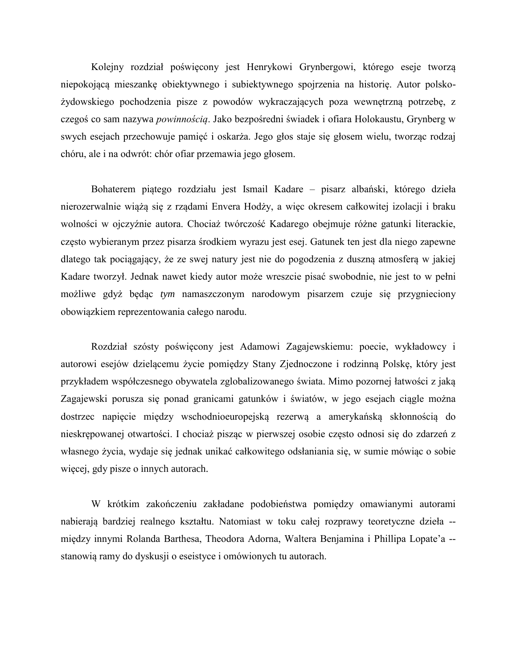Kolejny rozdział poświęcony jest Henrykowi Grynbergowi, którego eseje tworzą niepokojącą mieszankę obiektywnego i subiektywnego spojrzenia na historię. Autor polskożydowskiego pochodzenia pisze z powodów wykraczających poza wewnętrzną potrzebę, z czegoś co sam nazywa *powinnością*. Jako bezpośredni świadek i ofiara Holokaustu, Grynberg w swych esejach przechowuje pamięć i oskarża. Jego głos staje się głosem wielu, tworząc rodzaj chóru, ale i na odwrót: chór ofiar przemawia jego głosem.

Bohaterem piątego rozdziału jest Ismail Kadare – pisarz albański, którego dzieła nierozerwalnie wiążą się z rządami Envera Hodży, a więc okresem całkowitej izolacji i braku wolności w ojczyźnie autora. Chociaż twórczość Kadarego obejmuje różne gatunki literackie, często wybieranym przez pisarza środkiem wyrazu jest esej. Gatunek ten jest dla niego zapewne dlatego tak pociągający, że ze swej natury jest nie do pogodzenia z duszną atmosferą w jakiej Kadare tworzył. Jednak nawet kiedy autor może wreszcie pisać swobodnie, nie jest to w pełni możliwe gdyż będąc *tym* namaszczonym narodowym pisarzem czuje się przygnieciony obowiązkiem reprezentowania całego narodu.

Rozdział szósty poświęcony jest Adamowi Zagajewskiemu: poecie, wykładowcy i autorowi esejów dzielącemu życie pomiędzy Stany Zjednoczone i rodzinną Polskę, który jest przykładem współczesnego obywatela zglobalizowanego świata. Mimo pozornej łatwości z jaką Zagajewski porusza się ponad granicami gatunków i światów, w jego esejach ciągle można dostrzec napięcie między wschodnioeuropejską rezerwą a amerykańską skłonnością do nieskrępowanej otwartości. I chociaż pisząc w pierwszej osobie często odnosi się do zdarzeń z własnego życia, wydaje się jednak unikać całkowitego odsłaniania się, w sumie mówiąc o sobie więcej, gdy pisze o innych autorach.

W krótkim zakończeniu zakładane podobieństwa pomiędzy omawianymi autorami nabierają bardziej realnego kształtu. Natomiast w toku całej rozprawy teoretyczne dzieła - między innymi Rolanda Barthesa, Theodora Adorna, Waltera Benjamina i Phillipa Lopate'a - stanowią ramy do dyskusji o eseistyce i omówionych tu autorach.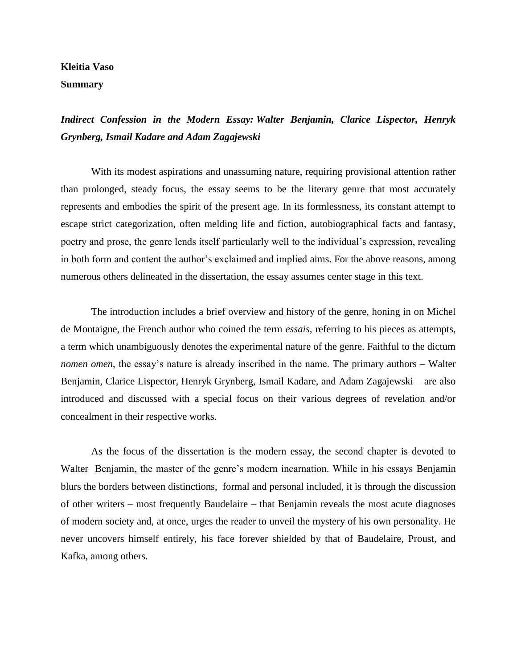## **Kleitia Vaso Summary**

*Indirect Confession in the Modern Essay: Walter Benjamin, Clarice Lispector, Henryk Grynberg, Ismail Kadare and Adam Zagajewski*

With its modest aspirations and unassuming nature, requiring provisional attention rather than prolonged, steady focus, the essay seems to be the literary genre that most accurately represents and embodies the spirit of the present age. In its formlessness, its constant attempt to escape strict categorization, often melding life and fiction, autobiographical facts and fantasy, poetry and prose, the genre lends itself particularly well to the individual's expression, revealing in both form and content the author's exclaimed and implied aims. For the above reasons, among numerous others delineated in the dissertation, the essay assumes center stage in this text.

The introduction includes a brief overview and history of the genre, honing in on Michel de Montaigne, the French author who coined the term *essais*, referring to his pieces as attempts, a term which unambiguously denotes the experimental nature of the genre. Faithful to the dictum *nomen omen*, the essay's nature is already inscribed in the name. The primary authors – Walter Benjamin, Clarice Lispector, Henryk Grynberg, Ismail Kadare, and Adam Zagajewski – are also introduced and discussed with a special focus on their various degrees of revelation and/or concealment in their respective works.

As the focus of the dissertation is the modern essay, the second chapter is devoted to Walter Benjamin, the master of the genre's modern incarnation. While in his essays Benjamin blurs the borders between distinctions, formal and personal included, it is through the discussion of other writers – most frequently Baudelaire – that Benjamin reveals the most acute diagnoses of modern society and, at once, urges the reader to unveil the mystery of his own personality. He never uncovers himself entirely, his face forever shielded by that of Baudelaire, Proust, and Kafka, among others.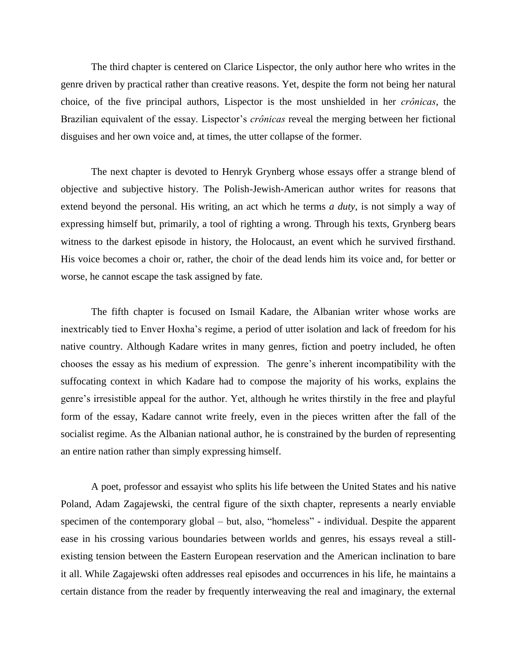The third chapter is centered on Clarice Lispector, the only author here who writes in the genre driven by practical rather than creative reasons. Yet, despite the form not being her natural choice, of the five principal authors, Lispector is the most unshielded in her *crônicas*, the Brazilian equivalent of the essay. Lispector's *crônicas* reveal the merging between her fictional disguises and her own voice and, at times, the utter collapse of the former.

The next chapter is devoted to Henryk Grynberg whose essays offer a strange blend of objective and subjective history. The Polish-Jewish-American author writes for reasons that extend beyond the personal. His writing, an act which he terms *a duty*, is not simply a way of expressing himself but, primarily, a tool of righting a wrong. Through his texts, Grynberg bears witness to the darkest episode in history, the Holocaust, an event which he survived firsthand. His voice becomes a choir or, rather, the choir of the dead lends him its voice and, for better or worse, he cannot escape the task assigned by fate.

The fifth chapter is focused on Ismail Kadare, the Albanian writer whose works are inextricably tied to Enver Hoxha's regime, a period of utter isolation and lack of freedom for his native country. Although Kadare writes in many genres, fiction and poetry included, he often chooses the essay as his medium of expression. The genre's inherent incompatibility with the suffocating context in which Kadare had to compose the majority of his works, explains the genre's irresistible appeal for the author. Yet, although he writes thirstily in the free and playful form of the essay, Kadare cannot write freely, even in the pieces written after the fall of the socialist regime. As the Albanian national author, he is constrained by the burden of representing an entire nation rather than simply expressing himself.

A poet, professor and essayist who splits his life between the United States and his native Poland, Adam Zagajewski, the central figure of the sixth chapter, represents a nearly enviable specimen of the contemporary global – but, also, "homeless" - individual. Despite the apparent ease in his crossing various boundaries between worlds and genres, his essays reveal a stillexisting tension between the Eastern European reservation and the American inclination to bare it all. While Zagajewski often addresses real episodes and occurrences in his life, he maintains a certain distance from the reader by frequently interweaving the real and imaginary, the external